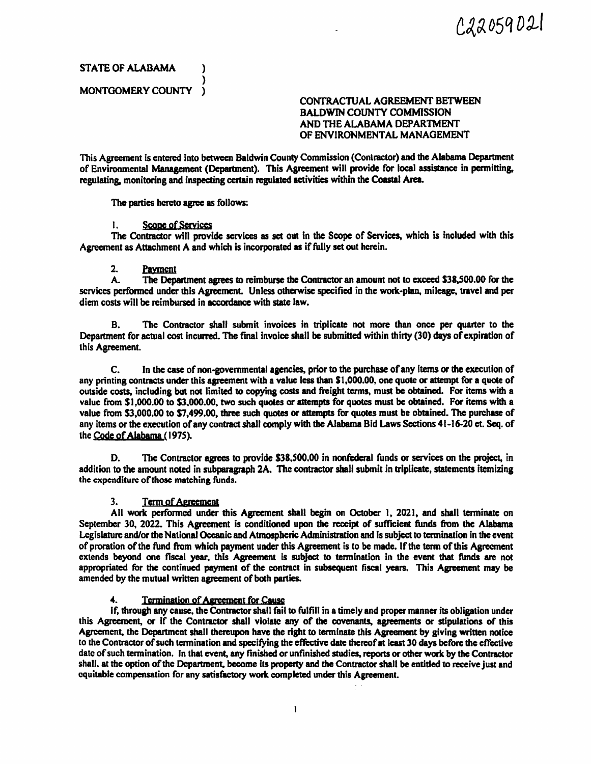022059021

STATE OF ALABAMA (1)

)

## MONTGOMERY COUNTY ) CONTRACTUAL AGREEMENT BETWEEN BALDWIN COUNTY COMMISSION AND THE ALABAMA DEPARTMENT OF ENVIRONMENTAL MANAGEMENT

This Agreement is entered into between Baldwin County Commission (Contractor) and the Alabama Department of Environmental Management (Department). This Agreement will provide for local assistance in permitting, regulating. monitoring and inspecting cerlain regulated activities within the Coastal Area.

The parties hereto agree as follows:

#### 1. Scope of Services

The Contractor will provide services as set out in the Scope of Services, which is included with this Agreement as Attachment A and which is incorporated as if fully set out herein.

# 2. Payment<br>A. The Depa

The Department agrees to reimburse the Contractor an amount not to exceed \$38,500.00 for the services performed under this Agreement. Unless otherwise specified in the work-plan, mileage, travel and per diem costs will be reimbursed in accordance with state law.

B. The Contractor shall submit invoices in triplicate not more than once per quarter to the Department for actual cost incurred. The final invoice shall be submitted within thirty (30) days of expiration of lhis Agreement.

C. In the case of non-governmental **agencies,** prior to the purchase of any items **or lhe** execution of any printing contracts under this agreement with a value less than \$1,000.00, one quote or attempt for a quote of outside costs, including but not limited to copying costs and freight tenns, must be obtained. For items with a value from \$1,000.00 to \$3,000.00, two such quotes or attempts for quotes must be obtained. For items with a value from \$3,000.00 to \$7,499.00, three such quotes or attempts for quotes must be obtained. The purchase of any items or the execution of any contract shall comply with the Alabama Bid Laws Sections 41-16-20 ct. Seq. of the Code of Alabama ( 197S).

D. The Contractor agrees to provide \$38,500.00 in nonfederal funds or services on the project, in addition to the amount noted in subparagraph 2A. The contractor shall submit in triplicate, statements itemizing the expenditure of those matching funds.

#### 3. Term of Agreement

All work performed under this Agreement shall begin on October I, 2021, and shall tenninate on September 30, 2022. This Agreement is conditioned upon the receipt of sufficient funds from the Alabama Legislature and/or the National Oceanic and Atmospheric Administration and is subject to termination in the event of proration of the fund from which payment under this Agreement is to be made. If the term of this Agreement extends beyond one fiscal year, this Agreement is subject to tennination in the event that funds arc not appropriated for the continued payment of the contract in subsequent fiscal years. This Agreement may be amended by the mutual written agreement of both parties.

#### Termination of Agreement for Cause

If, through any cause, the Contractor shall fail to fulfill in a timely and proper manner its obligation under this Agreement. or if the Contractor shall violate any of the covenants, agreements or stipulations of this Agreement, the Department shall thereupon have the right to tenninate this Agreement by giving written notice to the Contractor of such tennination and specifying the effective date thereof at least 30 days before the effective date of such tennination. In that event, any finished or unfinished studies, reports or other work by the Contractor shall, at the option of the Department, become its property and the Contractor shall be entitled to receive just and equitable compensation for any satisfactory work completed under this Agreement.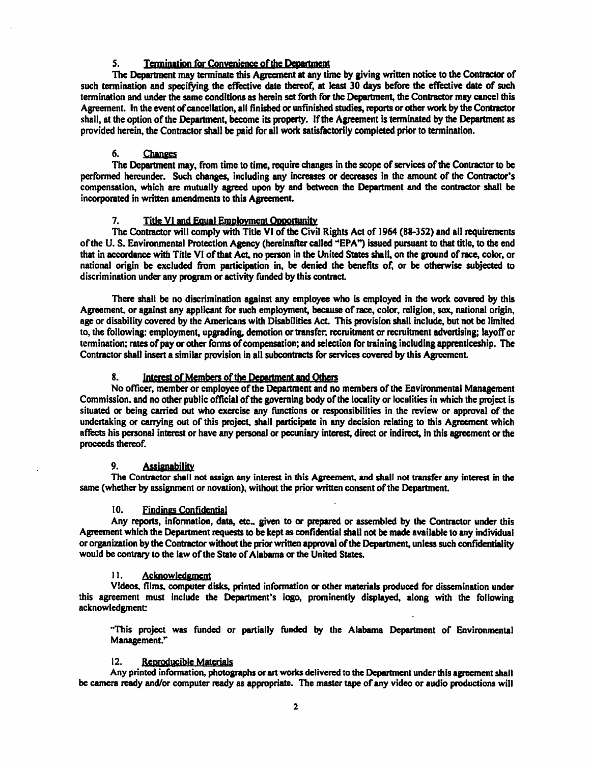#### 5. **Termination for Convenience of the Department**

The Department may terminate this Agreement at any time by giving written notice to the Contractor of such termination and specifying the effective date thereof, at least 30 days before the effective date of such tennination and under the same condidons as herein set forth for the Department, the Contractor may cancel this Agreement. In the event of cancellation, all finished or unfinished studies, reports or other work by the Contractor shall, at the option of the Department, become its property. If the Agreement is terminated by the Department as provided herein, the Contractor shall be paid for all work satisfactorily completed prior to termination.

#### 6. Changes

The Department may., from time to time. require changes in the scope of services of the Contractor to be performed hereunder. Such changes, including any increases or decreases in the amount of the Conttactor's compensation, which are mutually agreed upon by **and between** the **Department and** the contractor shall be incorporated in written amendments to this Agreement.

7. Title VI and Equal Employment Opportunity<br>The Contractor will comply with Title VI of the Civil Rights Act of 1964 (88-352) and all requirements of the U. S. Environmental Protection Agency (hereinafter called -'EPA *j* issued pursuant to that title, to the end that in accordance with Title VI of that Act, no person in the United States shall, on the ground of race, color, or national origin be excluded from participation in, be denied the benefits of, or be otherwise subjected to discrimination under any program or activity funded by this contract.

There shall be no discrimination against any employee who is employed in the work covered by this Agreement, or against any applicant for such employment, because of race, color, religion, sex, national origin, age or disability covered by the Americans with Disabilities Act. This provision shall include, but not be limited to, the following: employment, upgrading, demotion or transfer; recruitment or recruitment advertising; layoff or tennination; rates of pay or other forms of compensation; and selection for training including apprenticeship. The Contractor shall insert a similar provision in all subcontracts for services covered by this Agreement.

#### 8. Interest of Members of the Department and Others

No officer, member or employee of the Department and no members of the Environmental Management Commission. and no other public official of the governing body of the locality or localities in which the project is situated or being carried out who exercise any functions or responsibilities in the review or approval of the undertaking or canying out of this project, shall **participate** in any decision relating to this Agreement which affects his personal interest or have any personal or pecuniary interest, direct or indirect, in this agreement or the proceeds thereof.

#### 9. **Assignability**

The Contractor shall **not assian any** interest in this **Apeement, and** shall not transfer any interest in the same (whether by assignment or novation), without the prior written consent of the Department.

#### 10. Findings Confidential

Any reports, information, data, etc., given to or prepared or assembled by the Contractor under this Agreement which the Department requests to be kept as confidential shall not **be made available** to any individual or organization by the Contractor without the prior written approval of the Department, unless such confidentiality would be contrary to the law of the State of Alabama or the United States.

#### 11. Acknowledgment

Videos, films. computer disks, printed infonnation or other materials produced for dissemination under this agreement must include the Department's logo, prominently displayed., along with the following acknowledgment:

"This project was funded or partially funded by tbe Alabama Department of Environmental Management."

#### 12. Reproducible Materials

Any printed information, photographs or art works delivered to the Department under this agreement shall be camera ready and/or computer ready as appropriate. The master tape of any video or audio productions will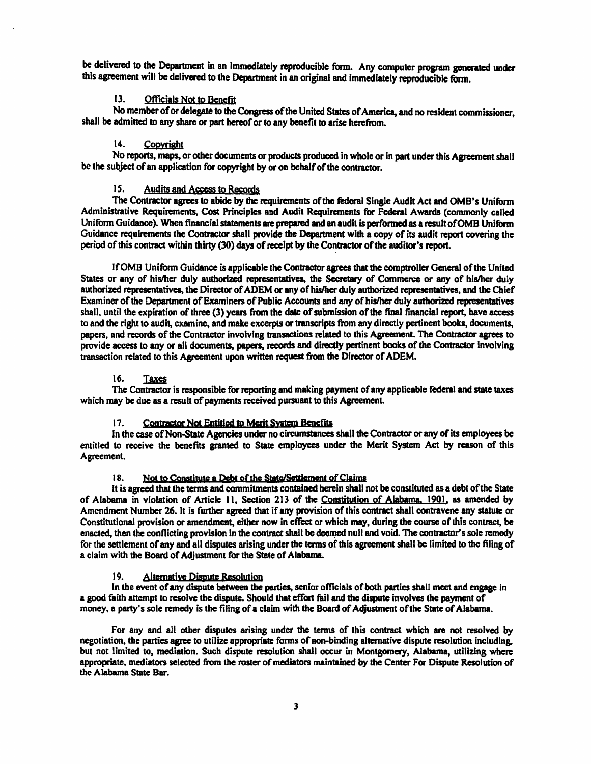be delivered to the Department in an immediately reproducible form. Any computer program generated under this agreement will be delivered to the Department in an original and immediately reproducible fonn.

#### 13. Officials Not to Benefit

No member of or delegate to the Congress of the United States of America, and no resident commissioner shall be admitted to any share or part hereof or to any benefit to arise herefrom.

#### 14. Copyright

No reports, maps, or other documents or products produced in whole or in part under this Agreement shall be the subject of an application for copyright by or on behalf of the contractor.

#### 15. Audits and Access to Records

The Contractor agrees to abide by the requirements of the federal Single Audit Act and OMB's Uniform Administrative Requirements, Cost Principles and Audit Requirements for Fedcnl Awards (commonly called Uniform Guidance). When financial statements are prepared and an audit is performed as a result of OMB Uniform Guidance requirements the Contractor shall provide the Department with a copy of its audit report covering the period of this contract within thirty (30) days of receipt by the Contractor of the auditor's report.

Jf 0MB Uniform Guidance is applicable *the* Contractor agrees that the comptroller General of the United States or any of his/her duly authorized representatives, the Secretary of Commerce or any of his/her duly authorized representatives, the Director of ADEM or any of his/her duly authorized representatives. and the Chief Examiner of the Department of Examiners of Public Accounts and any of his/her duly authorized representatives shall. until the expiration of three (3) years from the date of submission of the final financial report, have access to and the right to audit, examine, and make excerpts or transcripts from any directly pertinent books, documents, papers, and records of the Contractor involving transactions related to this Agreement. The Contractor agrees to provide access to any or all documents, papers, records and directly pertinent books of the Contractor involving transaction related to this Agreement upon written request ftom the Director of ADEM.

#### 16. Taxes

The Contractor is responsible for reporting and making payment of any applicable fedenl and state taxes which may be due as a result of payments received pursuant to this Agreement.

#### 17. Contractor Not Entitled to Merit System Benefits

In the case of Non-State Agencies under no circumstances shall the Contractor or any of its employees be entitled to receive the benefits granted to State employees under the Merit System Act by reason of this Agreement.

#### 18. Not to Constitute a Debt of the State/Settlement of Claims

It is agreed that the terms and commitments contained herein shall not be constituted as a debt of the State of Alabama in violation of Article 11, Section 213 of the Constitution of Alabama, 1901, as amended by Amendment Number 26. It is further agreed that if any provision of this contract shall contravene any statute or Constitutional provision or amendment, either now in effect or which may, during the course of this contract, be enacted, then the conflicting provision in the contract shall be deemed null and void. The contractor's sole remedy for the settlement of any and all disputes arising under the terms of this agreement shall be limited to the filing of a claim with the Board of Adjustment for the State of Alabama.

#### 19. Alternative Dispute Resolution

In the event of any dispute between the parties, senior officials of both parties shall meet and engage in a good faith attempt to resolve the dispute. Should that effort fail and the dispute involves the payment of money, a party's sole remedy is the filing of a claim with the Board of Adjustment of the State of Alabama.

For any and all other disputes arising under the tenns of this contract which are not resolved by negotiation. the parties agree to utilize appropriate fonns of non-binding alternative dispute resolution including, but not limited to, mediation. Such dispute resolution shall occur in Montgomery, Alabama, utilizing where appropriate, mediators selected from the roster of mediators **maintained** by the Center For Dispute Resolution of the Alabama State Bar.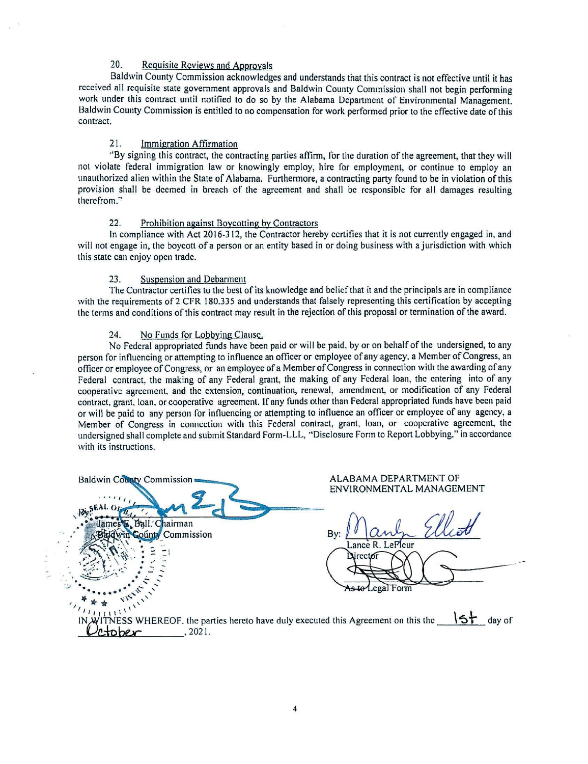### 20. Requisite Reviews and Approvals

Baldwin County Commission acknowledges and understands that this contract is not effective until it has received all requisite state government approvals and Baldwin County Commission shall not begin performing work under this contract until notified to do so by the Alabama Department of Environmental Management. Baldwin County Commission is entitled to no compensation for work performed prior to the effective date of this contract.

#### 21. Immigration Affirmation

·'By signing this contract, the contracting parties affinn, for the duration of the agreement, that they will not violate federal immigration law or knowingly employ, hire for employment, or continue to employ an unauthorized alien within the State of Alabama. Furthennore, a contracting party found to be in violation of this provision shall be deemed in breach of the agreement and shall be responsible for all damages resulting therefrom."

#### 22. Prohibition against Boycotting by Contractors

In compliance with Act 2016-312, the Contractor hereby certifies that it is not currently engaged in, and will not engage in, the boycott of a person or an entity based in or doing business with a jurisdiction with which this state can enjoy open trade.

#### 23. Suspension and Debarment

The Contractor certifies to the best of its knowledge and belief that it and the principals are in compliance with the requirements of 2 CFR 180.335 and understands that falsely representing this certification by accepting the terms and conditions of this contract may result in the rejection of this proposal or termination of the award.

#### 24. No Funds for Lobbying Clause.

No Federal appropriated funds have been paid or will be paid. by or on behalf of the undersigned, to any person for influencing or attempting to influence an officer or employee of any agency. a Member of Congress, an officer or employee of Congress, or an employee of a Member of Congress in connection with the awarding of any Federal contract, the making of any Federal grant, the making of any Federal loan, the entering into of any cooperative agreement. and the extension, continuation, renewal, amendment, or modification of any Federal contract, grant, loan, or cooperative agreement. If any funds other than Federal appropriated funds have been paid or will be paid to any person for innuencing or attempting to influence an officer or employee of any agency, a Member of Congress in connection with this Federal contract, grant, loan, or cooperative agreement, the undersigned shall complete and submit Standard Form-LLL, ·'Disclosure Form to Report Lobbying," in accordance with its instructions.

| Baldwin County Commission                                                                                                                           | ALABAMA DEPARTMENT OF<br>ENVIRONMENTAL MANAGEMENT |
|-----------------------------------------------------------------------------------------------------------------------------------------------------|---------------------------------------------------|
| 2.5.5.1                                                                                                                                             |                                                   |
| GLALO<br>$-154$                                                                                                                                     |                                                   |
| James E. Ball. Chairman<br>dwin County Commission                                                                                                   | By:                                               |
|                                                                                                                                                     | Lance R. LePleur<br>Director                      |
|                                                                                                                                                     |                                                   |
|                                                                                                                                                     | As to Legal Form                                  |
|                                                                                                                                                     |                                                   |
| $\overline{\mathcal{W}_{\mathcal{U}_{\mathcal{U}_{1111}}}}$<br>IN WITNESS WHEREOF, the parties hereto have duly executed this Agreement on this the | 5<br>day of                                       |
| 2021.<br>ober                                                                                                                                       |                                                   |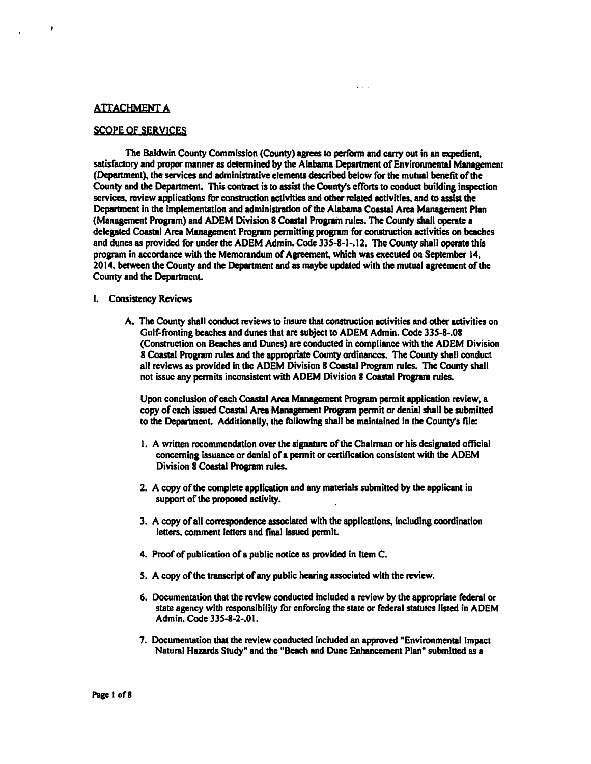#### **ATTACHMENT A**

 $\lambda$ 

#### SCOPE Of SERVICES

The Baldwin County Commission (County) agrees to perform and carry out in an expedient, satisfactory and proper manner as determined by the Alabama Department of Environmental Management (Department), the services and administrative elements described below for the mutual benefit of the County and the Department. This contract is to assist the County's efforts to conduct building inspection services, review applications for construction activities and other related activities. and to assist the Department in the implementation and administration of the Alabama Coastal Arca Management Plan (Management Program) and ADEM Division 8 Coastal Program rules. The County shall operate a delegated Coastal Area Management Program permitting program for construction activities on beaches and dunes as provided for under the ADEM Admin. Code 335-8-1-.12. The County shall operate this program in accordance with the Memorandum of Agreement, which was executed on September I 4, 2014, between the County and the Department and as maybe updated with the mutual agreement of the County and the DepartmenL

 $\frac{1}{2}$  ,  $\frac{1}{2}$  ,  $\frac{1}{2}$ 

#### I. Consistency Reviews

A. The County shall conduct reviews to insure that construction activities and other activities on Gulf-fronting beaches and dunes that are subject to ADEM Admin. Code 33S-8-.08 (Construction on Beaches and Dunes) are conducted in compliance with the ADEM Division 8 Coastal Program rules and the appropriate County ordinances. The County shall conduct all reviews as provided in the ADEM Division 8 Coastal Program rules. The County shall not issue any permits inconsistent with ADEM Division 8 Coastal Program rules.

Upon conclusion of each Coastal Arca Management Program permit application review. a copy of each issued Coastal Area Management Program pennit or denial shall be submitted to the Department. Additionally, the following shall be maintained in the County's tile:

- 1. A written recommendation over the signature of the Chainnan or his **designated** official concerning issuance or denial of a permit or certification consistent with the ADEM Division 8 Coastal Program roles.
- 2. A copy of the complete application and any materials submitted by the applicant in suppon or **the proposed** activity.
- 3. A copy of all correspondence associated with the applications, including coordination letters, comment letters and final issued permit.
- 4. Proof of publication of a public notice as provided in Item C.
- *S.* A copy of the transcript of any public hearing associated with the review.
- 6. Documentation that the review conducted included a review by the appropriate federal or state agency with responsibility for enforcing the state or federal statutes listed in ADEM Admin. Code 335-8-2-.0 I.
- 7. Documentation that the review conducted included an approved "Environmental Impact Natural Hazards Study" and the "Beach and Dune Enhancement Plan" submitted as a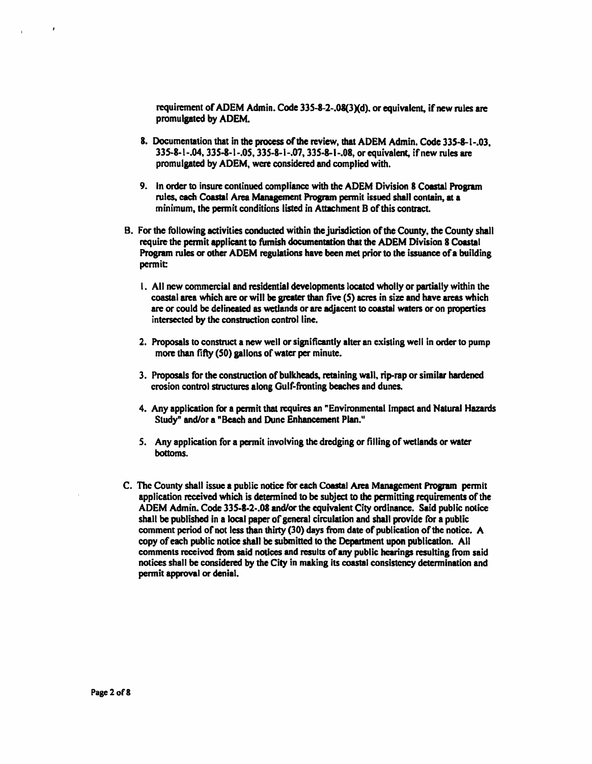requirement of ADEM Admin. Code 335-8-2-.08(3)(d), or equivalent, if new rules are promulgated by ADEM.

- 8. Documentation that in the process of the review, that ADEM Admin. Code 335-8-1-.03. 335-8-1-.04, 33S-8-1-.05, 335-8-1-.07, 335-8-1-.08, or equivalent, ifnew rules are promulgated by ADEM, were considered and complied with.
- 9. In order to insure continued compliance with the ADEM Division 8 Coastal Program rules, cach Coastal Area Management Program permit issued shall contain, at a minimum, the pennit conditions listed in Attachment 8 of this contract.
- B. For the following activities conducted within the jurisdiction of the County, the County shall require the pennit applicant to furnish documentation that the ADEM Division 8 Coastal Program rules or other ADEM regulations have been met prior to the issuance of a building permit:
	- I. All new commercial and residential developments located wholly or partially within the coastal area which are or will **be greater** than five (S) acres in size and have areas which are or could be delineated as wetlands or are adjacent to coastal waters or on properties intersected by the construction control line.
	- 2. Proposals to construct a new well or significantly alter an existing well in order to pump more than fifty (SO) gallons of water per minute.
	- 3. Proposals for the construction of bulkheads, retaining wall, rip-rap or similar hardened erosion control structures along Gulf-fronting beaches and dunes.
	- 4. Any application for a permit that requires an "Environmental Impact and Natural Hazards Study" and/or a "Beach and Dunc Enhancement Plan."
	- *S.* Any application for a permit involving the dredging or tilling of wetlands or water bottoms.
- C. The County shall issue a public notice for each COastal Area Management Program pennit application received which is determined to be subject to the permitting requirements of the ADEM Admin. Code 335-8-2-.08 and/or the equivalent City ordinance. Said public notice shall be published in a local paper of general circulation and shall provide for a public comment period of not less than thirty (30) days from date of publication of the notice. A copy of each public notice shall be submitted to the Department upon publication. All comments received from said nodces and results of any public hearings resulting from said notices shall be considered by the City in making its coastal consistency detennination and permit approval or denial.

 $\lambda$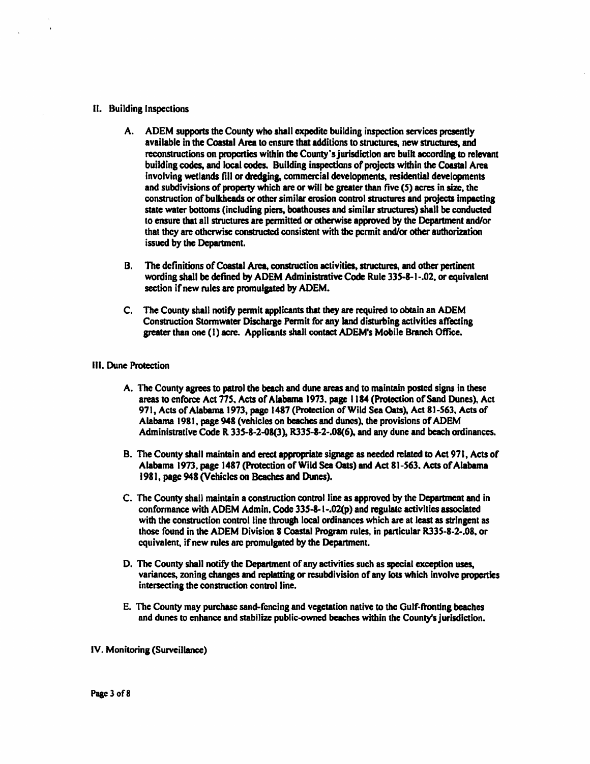#### II. Building Inspections

- A. ADEM supports the County who shall expedite building inspection services presently available in the Coastal Area to ensure that additions to structures, new structures, and reconstructions on properties within the County's jurisdiction are built according to relevant building codes, and local codes. Building inspections of projects within the Coastal Area involving wetlands fill or dredging, commercial developments, residential developments and subdivisions of property which are or will be greater than five (S) acres in size, the construction of bulkheads or other similar erosion control structures and projects impacting state water bottoms (including piers. boathouses and similar structures) shall be conducted to ensure that all structures are permitted or otherwise approved by the Department and/or that they are otherwise constructed consistent with the pcnnit and/or other authorization issued by the Department.
- B. The definitions of Coastal Arca, construction activities, structures, and other pertinent wording shall be defined by ADEM Administrative Code Rule 335-8-1-.02, or equivalent section if new rules are promulgated by ADEM.
- C. The County shall notify permit applicants **that they are** required to obtain an ADEM Construction Stonnwater Discharge Pennit for any land disturbing activities affecting greater than one (I) acre. Applicants shall contact ADEM's **Mobile** Branch Office.

#### Ill. **Dune Protection**

- A. The County agrees to patrol the beach and dune areas and to maintain posted signs in these areas to enforce Act 775, Acts of Alabama 1973, page 1184 (Protection of Sand Dunes), Act 971, Acts of Alabama 1973, page 1487 (Protection of Wild Sea Oats), Act 81-563, Acts of Alabama 1981, page 948 (vehicles on beaches and dunes), the provisions of ADEM Administrative Code R 335-8-2-08(3), R335-8-2-.08(6), and any dune and beach ordinances.
- B. The County shall maintain and erect appropriate signagc as needed related to Act 971, Acts of Alabama 1973. page 1487 (Protection of Wild Sea Oats) and Act 81-563. Acts of Alabama 1981, **page 948** (Vehicles on **Beaches and** Dunes).
- C. The County shall maintain a construction control line **as approved** by the **Department and** in conformance with ADEM Admin. Code  $335-8-1-02(p)$  and regulate activities associated with the construction control line through local ordinances which are at least as stringent as those found in the ADEM Division **8 Coastal Program** rules, in particular RJJS-8-2-.08, or equivalent, if new rules are promulgated by the Department.
- D. The County shall notify the Department of any activities such as special exception uses, variances, zoning changes and replatting or resubdivision of any lots which involve properties intersecting the construction control line.
- E. The County may purchase sand-fencing and vegetation native to the Oulf-ftonting beaches and dunes to enhance and stabilize public-owned beaches within the County's jurisdiction.

IV. Monitoring (Surveillance)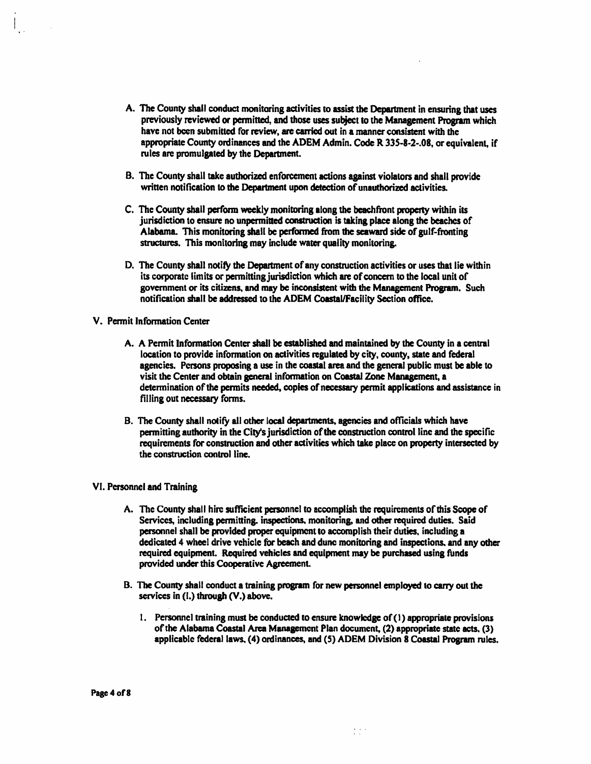- A. The County shall conduct monitoring activities to assist the Department in ensuring that uses previously reviewed or pennitted, and those uses subject to the Management Program which have not been submitted for review, are carried out in a manner consistent with the appropriate County ordinances and the ADEM Admin. Code R 33S-8-2-.08, or equivalent. if rules are promulgated by the Department.
- B. The County shall take authorized enforcement actions against violators and shall provide written notification to the Department upon detection of unauthorized activities.
- C. The County shall perform weekly monitoring along the beachfront property within its jurisdiction to ensure no unpermitted construction is taking place along the beaches of Alabama. This monitoring shall be perfonned from the seaward side of gulf-fronting structures. This monitoring may include water quality monitoring.
- D. The County shall notify the Department of any construction activities or uses that lie within its corporate limits or permitting jurisdiction which are of concern to the local unit of government or its citizens, and may be inconsistent with the Management Program. Such notification shall **be addressed** to the ADEM Coastal/Facility Section office.
- V. Permit lnfonnation Center
	- A. A Pennit Information Center shall be established and maintained by the County in a central location to provide information on activities regulated by city, county, state and federal agencies. Persons proposing a use in the coastal area and the general public must be able to visit the Center and obtain general information on Coastal Zone **Management, a**  determination of the permits needed, copies of necessary permit applications and assistance in filling out necessary forms.
	- B. The County shall notify all other local departments. agencies and officials which have permitting authority in the City's jurisdiction of the construction control line and the specific requirements for construction and other activities which take place on property intersected by the construction control line.

#### VI. Personnel and Training

- A. The County shall hire sufficient personnel to accomplish the requirements of this Scope of Services, including permitting. inspections. monitoring, and other required duties. Said personnel shall be provided proper equipment to accomplish their duties, including a dedicated 4 wheel drive vehicle for beach and dune monitoring and inspections. and any other required equipment. Required vehicles and equipment may be purchased using funds provided under this Cooperative Agreement.
- B. The County shall conduct a training program for new personnel employed to carry out the services in (I.) through (V.) above.
	- 1. Personnel training must be conducted to ensure knowledge of ( 1) appropriate provisions of the Alabama Coastal Area Management Plan document,  $(2)$  appropriate state acts.  $(3)$ applicable federal laws. (4) ordinances, and (5) ADEM Division 8 Coastal Program rules.

 $\frac{1}{2}$  ,  $\frac{1}{2}$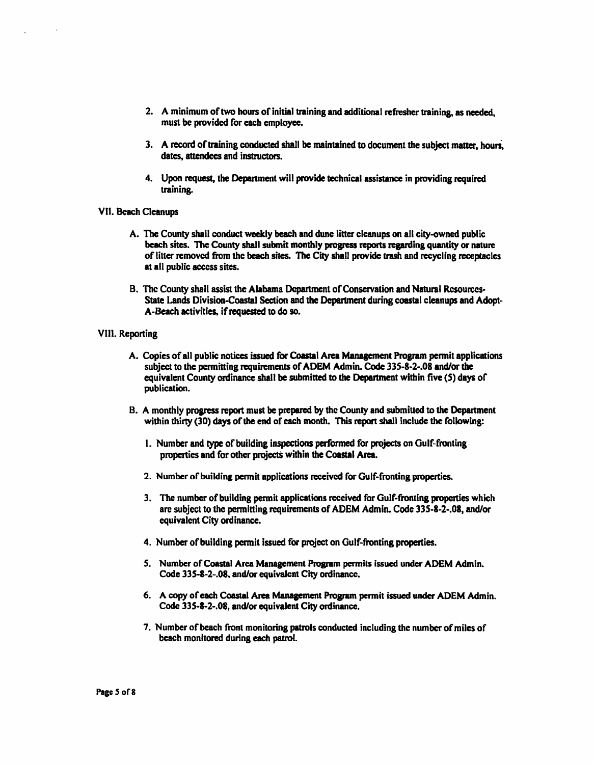- 2. A minimum of two hours of initial training and additional refresher training. as needed, must be provided for each employee.
- 3. A record of training conducted shall be maintained to document the subject matter, houri, dates, attendees and instructors.
- 4. Upon request, the Department will provide technical assistance in providing required training.
- VII. Beach Cleanups
	- A. The County shall conduct weekly beach and dune litter cleanups on all city-owned public beach sites. The County shall submit monthly **progress reports regarding** quantity or nature of litter removed from the beach sites. The City shall provide tnsh and recycling receptacles at all public access sites.
	- B. The County shall assist the Alabama Department of Conservation and Natural Resources-State Lands Division-Coastal Section and **the Department** during coastal cleanups and Adopt-A-Beach activities, if requested to do so.

#### VIII. Reporting

- A. Copies of all public notices issued for Coastal Area Management Program permit applications subject to the pcnnitting requirements of ADEM Admin. Code 33S-8-2-.08 and/or the equivalent County ordinance shall be submitted to the Department within five (S) days or publication.
- B. A monthly progress report must be prepared by the County and submitted to the Department within thirty (30) days of the end of each month. This report shall include the following:
	- 1. Number and type of building inspections performed for projects on Gulf-fronting properties and for other projects within the Coastal Area.
	- 2. Number of building permit applications received for Gulf-fronting properties.
	- 3. The number of building pennit applications received for Gulf-fronting properties which are subject to the permitting requirements of ADEM Admin. Code 335-8-2-.08, and/or equivalent City ordinance.
	- 4. Number of building permit issued for project on Gulf-fronting **properties.**
	- 5. Number of Coastal Area Management Program permits issued under ADEM Admin. Code 335-8-2-.08, and/or equivalent City ordinance.
	- 6. A copy of each **Coastal Area Management Program** pennit issued under ADEM Admin. Code 335-8-2-.08, and/or equivalent City ordinance.
	- 7. Number of beach front monitoring patrols conducted including the number of miles of beach monitored during each patrol.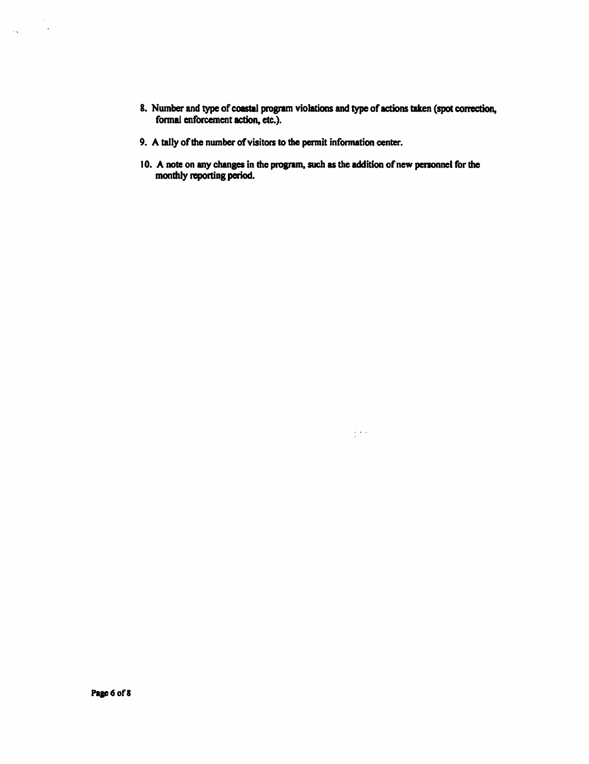- 8. Number and type of coastal program violations and type of actions taken (spot correction, formal enforcement action, etc.).
- 9. A tally of the number of visitors to the permit information center.
- 10. A note on any changes in the program, such as the addition of new personnel for the monthly reporting period.

 $\frac{1}{2} \frac{1}{2} \frac{1}{2} \frac{1}{2}$ 

 $\label{eq:1} \frac{1}{2\sqrt{2}}\sum_{i=1}^n\frac{1}{2\sqrt{2}}\sum_{i=1}^n\frac{1}{2\sqrt{2}}\sum_{i=1}^n\frac{1}{2\sqrt{2}}\sum_{i=1}^n\frac{1}{2\sqrt{2}}\sum_{i=1}^n\frac{1}{2\sqrt{2}}\sum_{i=1}^n\frac{1}{2\sqrt{2}}\sum_{i=1}^n\frac{1}{2\sqrt{2}}\sum_{i=1}^n\frac{1}{2\sqrt{2}}\sum_{i=1}^n\frac{1}{2\sqrt{2}}\sum_{i=1}^n\frac{1}{2\sqrt{2}}\sum$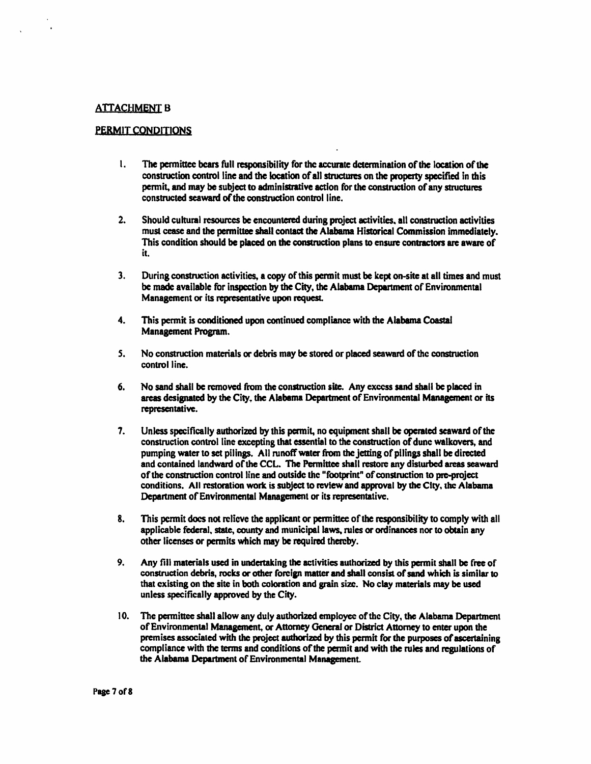#### **ATTACHMENT B**

#### PERMIT CONDITIONS

- l. The permittee bears full **responsibility** for the accurate determination of the location of the construction control line **and the location** of all structures on **the property specified** in this permit, and may be subject to administrative action for the construction of any structures constructed **seaward of** the construction control line.
- 2. Should cultural resources be encountered during project activities. all construction activities must cease and the permittee shall contact **the Alabama** Historical Commission immediately. This condition should **be placed** on the construction plans to ensure **contractors are aware** of it.
- 3. During construction activities, a copy of this permit must be kept on-site at all times and must be made available for inspection by the City, the Alabama Department of Environmental Management or its representative upon request.
- 4. This permit is conditioned upon continued compliance with the **Alabama Coastal**  Management Program.
- *S.* No construction materials or debris may be stored or placed seaward of the construction control line.
- 6. No sand shall be removed from the construction site. Any excess sand shall be placed in areas designated by the City, the Alabama Department of Environmental Management or its representative.
- 7. Unless specifically authorized by this permit, no equipment shall be operated seaward of the construction control line excepting that essential to the construction of dune walkovers, and pumping water to set pilings. All runoff water from the jetting of pilings shall be directed and contained landward of the CCL. The Permittee shall restore any disturbed areas seaward of the construction control line and outside the "footprint" of construction to pre-project conditions. All restoration work is subject to review and approval by the City, the Alabama Department of Environmental Management or its representative.
- 8. This pennit docs not relieve the applicant or pennittee of the responsibility to comply with all applicable federal, state, county and municipal laws, rules or ordinances nor to obtain any other licenses or permits which may be required thereby.
- 9. Any fill materials used in undertaking the activities authorized by this permit shall be free of construction debris, rocks or other foreign matter and shall consist of sand which is similar to that existing on the site in both coloration and grain size. No clay materials may be used unless specifically approved by the City.
- 10. The permittee shall allow any duly authorized employee of the City, the Alabama Department of Environmental Management, or Attorney General or District Attorney to enter upon the premises associated with the project authorized by this permit for the purposes of ascertaining compliance with the terms and conditions of the permit and with the rules and regulations of the Alabama Department of Environmental Management.